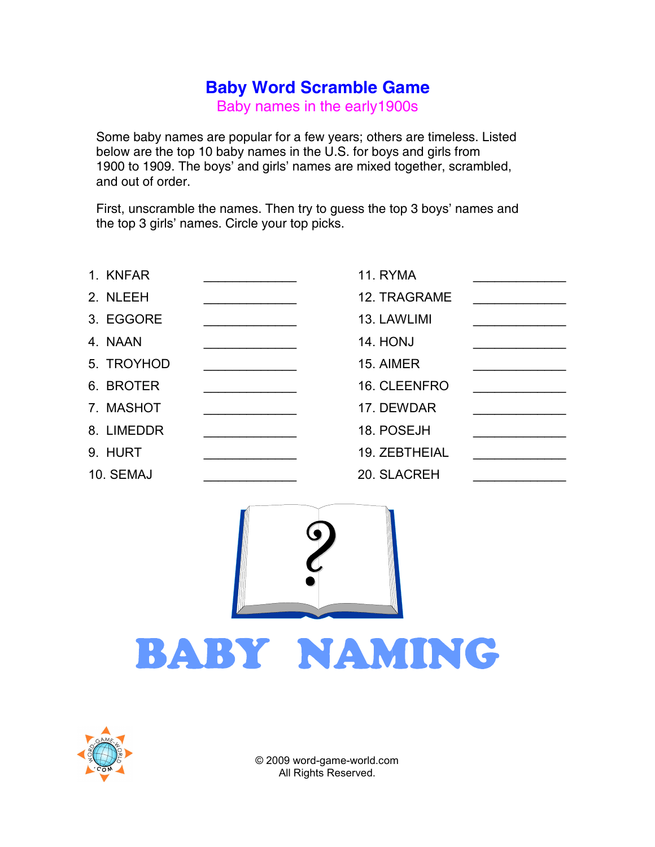## Baby Word Scramble Game

Baby names in the early1900s

Some baby names are popular for a few years; others are timeless. Listed below are the top 10 baby names in the U.S. for boys and girls from 1900 to 1909. The boys' and girls' names are mixed together, scrambled, and out of order.

First, unscramble the names. Then try to guess the top 3 boys' names and the top 3 girls' names. Circle your top picks.

| 1. KNFAR   | <b>11. RYMA</b> |  |
|------------|-----------------|--|
| 2. NLEEH   | 12. TRAGRAME    |  |
| 3. EGGORE  | 13. LAWLIMI     |  |
| 4. NAAN    | <b>14. HONJ</b> |  |
| 5. TROYHOD | 15. AIMER       |  |
| 6. BROTER  | 16. CLEENFRO    |  |
| 7. MASHOT  | 17. DEWDAR      |  |
| 8. LIMEDDR | 18. POSEJH      |  |
| 9. HURT    | 19. ZEBTHEIAL   |  |
| 10. SEMAJ  | 20. SLACREH     |  |



## BABY NAMING



© 2009 word-game-world.com All Rights Reserved.